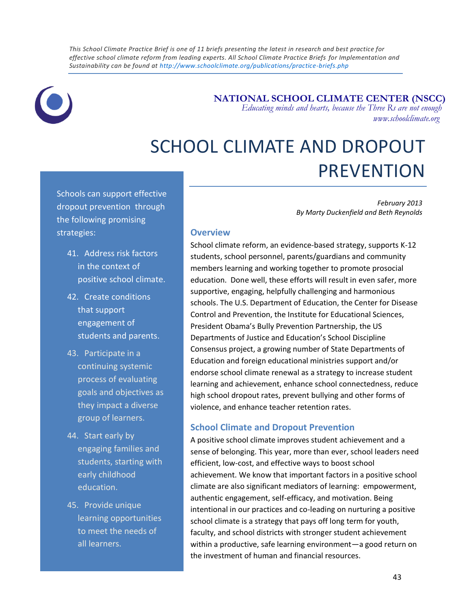*This School Climate Practice Brief is one of 11 briefs presenting the latest in research and best practice for effective school climate reform from leading experts. All School Climate Practice Briefs for Implementation and Sustainability can be found at<http://www.schoolclimate.org/publications/practice-briefs.php>*



 **NATIONAL SCHOOL CLIMATE CENTER (NSCC)**

 *Educating minds and hearts, because the Three Rs are not enough www.schoolclimate.org*

# SCHOOL CLIMATE AND DROPOUT PREVENTION

Schools can support effective dropout prevention through the following promising strategies:

- 41. Address risk factors in the context of positive school climate.
- 42. Create conditions that support engagement of students and parents.
- 43. Participate in a continuing systemic process of evaluating goals and objectives as they impact a diverse group of learners.
- 44. Start early by engaging families and students, starting with early childhood education.
- 45. Provide unique learning opportunities to meet the needs of all learners.

instructional strategies.

*February 2013 By Marty Duckenfield and Beth Reynolds*

## **Overview**

School climate reform, an evidence-based strategy, supports K-12 students, school personnel, parents/guardians and community members learning and working together to promote prosocial education. Done well, these efforts will result in even safer, more supportive, engaging, helpfully challenging and harmonious schools. The U.S. Department of Education, the Center for Disease Control and Prevention, the Institute for Educational Sciences, President Obama's Bully Prevention Partnership, the US Departments of Justice and Education's School Discipline Consensus project, a growing number of State Departments of Education and foreign educational ministries support and/or endorse school climate renewal as a strategy to increase student learning and achievement, enhance school connectedness, reduce high school dropout rates, prevent bullying and other forms of violence, and enhance teacher retention rates.

# **School Climate and Dropout Prevention**

A positive school climate improves student achievement and a sense of belonging. This year, more than ever, school leaders need efficient, low-cost, and effective ways to boost school achievement. We know that important factors in a positive school climate are also significant mediators of learning: empowerment, authentic engagement, self-efficacy, and motivation. Being intentional in our practices and co-leading on nurturing a positive school climate is a strategy that pays off long term for youth, faculty, and school districts with stronger student achievement within a productive, safe learning environment—a good return on the investment of human and financial resources.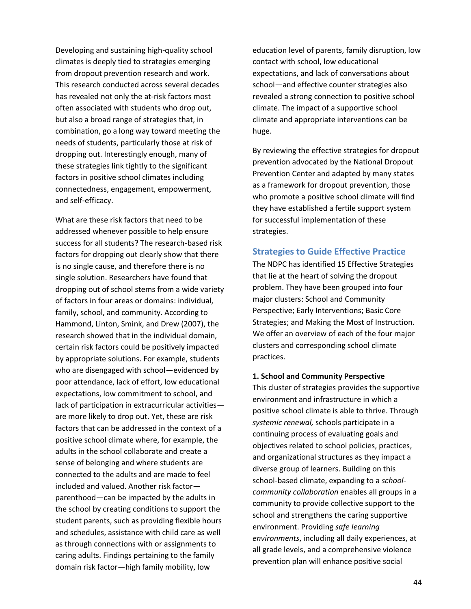Developing and sustaining high-quality school climates is deeply tied to strategies emerging from dropout prevention research and work. This research conducted across several decades has revealed not only the at-risk factors most often associated with students who drop out, but also a broad range of strategies that, in combination, go a long way toward meeting the needs of students, particularly those at risk of dropping out. Interestingly enough, many of these strategies link tightly to the significant factors in positive school climates including connectedness, engagement, empowerment, and self-efficacy.

What are these risk factors that need to be addressed whenever possible to help ensure success for all students? The research-based risk factors for dropping out clearly show that there is no single cause, and therefore there is no single solution. Researchers have found that dropping out of school stems from a wide variety of factors in four areas or domains: individual, family, school, and community. According to Hammond, Linton, Smink, and Drew (2007), the research showed that in the individual domain, certain risk factors could be positively impacted by appropriate solutions. For example, students who are disengaged with school—evidenced by poor attendance, lack of effort, low educational expectations, low commitment to school, and lack of participation in extracurricular activities are more likely to drop out. Yet, these are risk factors that can be addressed in the context of a positive school climate where, for example, the adults in the school collaborate and create a sense of belonging and where students are connected to the adults and are made to feel included and valued. Another risk factor parenthood—can be impacted by the adults in the school by creating conditions to support the student parents, such as providing flexible hours and schedules, assistance with child care as well as through connections with or assignments to caring adults. Findings pertaining to the family domain risk factor—high family mobility, low

education level of parents, family disruption, low contact with school, low educational expectations, and lack of conversations about school—and effective counter strategies also revealed a strong connection to positive school climate. The impact of a supportive school climate and appropriate interventions can be huge.

By reviewing the effective strategies for dropout prevention advocated by the National Dropout Prevention Center and adapted by many states as a framework for dropout prevention, those who promote a positive school climate will find they have established a fertile support system for successful implementation of these strategies.

#### **Strategies to Guide Effective Practice**

The NDPC has identified 15 Effective Strategies that lie at the heart of solving the dropout problem. They have been grouped into four major clusters: School and Community Perspective; Early Interventions; Basic Core Strategies; and Making the Most of Instruction. We offer an overview of each of the four major clusters and corresponding school climate practices.

#### **1. School and Community Perspective**

This cluster of strategies provides the supportive environment and infrastructure in which a positive school climate is able to thrive. Through *systemic renewal,* schools participate in a continuing process of evaluating goals and objectives related to school policies, practices, and organizational structures as they impact a diverse group of learners. Building on this school-based climate, expanding to a *schoolcommunity collaboration* enables all groups in a community to provide collective support to the school and strengthens the caring supportive environment. Providing *safe learning environments*, including all daily experiences, at all grade levels, and a comprehensive violence prevention plan will enhance positive social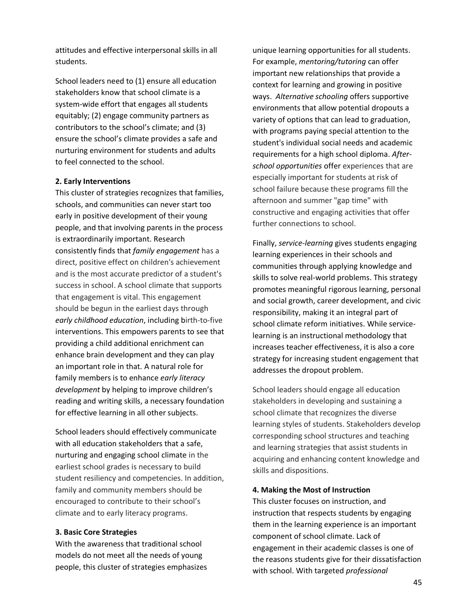attitudes and effective interpersonal skills in all students.

School leaders need to (1) ensure all education stakeholders know that school climate is a system-wide effort that engages all students equitably; (2) engage community partners as contributors to the school's climate; and (3) ensure the school's climate provides a safe and nurturing environment for students and adults to feel connected to the school.

#### **2. Early Interventions**

This cluster of strategies recognizes that families, schools, and communities can never start too early in positive development of their young people, and that involving parents in the process is extraordinarily important. Research consistently finds that *family engagement* has a direct, positive effect on children's achievement and is the most accurate predictor of a student's success in school. A school climate that supports that engagement is vital. This engagement should be begun in the earliest days through *early childhood education*, including birth-to-five interventions. This empowers parents to see that providing a child additional enrichment can enhance brain development and they can play an important role in that. A natural role for family members is to enhance *early literacy development* by helping to improve children's reading and writing skills, a necessary foundation for effective learning in all other subjects.

School leaders should effectively communicate with all education stakeholders that a safe, nurturing and engaging school climate in the earliest school grades is necessary to build student resiliency and competencies. In addition, family and community members should be encouraged to contribute to their school's climate and to early literacy programs.

#### **3. Basic Core Strategies**

With the awareness that traditional school models do not meet all the needs of young people, this cluster of strategies emphasizes unique learning opportunities for all students. For example, *mentoring/tutoring* can offer important new relationships that provide a context for learning and growing in positive ways. *Alternative schooling* offers supportive environments that allow potential dropouts a variety of options that can lead to graduation, with programs paying special attention to the student's individual social needs and academic requirements for a high school diploma. *Afterschool opportunities* offer experiences that are especially important for students at risk of school failure because these programs fill the afternoon and summer "gap time" with constructive and engaging activities that offer further connections to school.

Finally, *service-learning* gives students engaging learning experiences in their schools and communities through applying knowledge and skills to solve real-world problems. This strategy promotes meaningful rigorous learning, personal and social growth, career development, and civic responsibility, making it an integral part of school climate reform initiatives. While servicelearning is an instructional methodology that increases teacher effectiveness, it is also a core strategy for increasing student engagement that addresses the dropout problem.

School leaders should engage all education stakeholders in developing and sustaining a school climate that recognizes the diverse learning styles of students. Stakeholders develop corresponding school structures and teaching and learning strategies that assist students in acquiring and enhancing content knowledge and skills and dispositions.

#### **4. Making the Most of Instruction**

This cluster focuses on instruction, and instruction that respects students by engaging them in the learning experience is an important component of school climate. Lack of engagement in their academic classes is one of the reasons students give for their dissatisfaction with school. With targeted *professional*